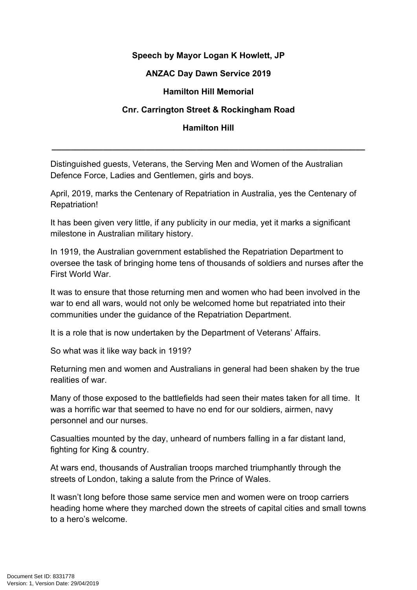## **Speech by Mayor Logan K Howlett, JP**

## **ANZAC Day Dawn Service 2019**

## **Hamilton Hill Memorial**

# **Cnr. Carrington Street & Rockingham Road**

## **Hamilton Hill**

**\_\_\_\_\_\_\_\_\_\_\_\_\_\_\_\_\_\_\_\_\_\_\_\_\_\_\_\_\_\_\_\_\_\_\_\_\_\_\_\_\_\_\_\_\_\_\_\_\_\_\_\_\_\_\_\_\_\_\_\_\_\_\_\_\_\_\_**

Distinguished guests, Veterans, the Serving Men and Women of the Australian Defence Force, Ladies and Gentlemen, girls and boys.

April, 2019, marks the Centenary of Repatriation in Australia, yes the Centenary of Repatriation!

It has been given very little, if any publicity in our media, yet it marks a significant milestone in Australian military history.

In 1919, the Australian government established the Repatriation Department to oversee the task of bringing home tens of thousands of soldiers and nurses after the First World War.

It was to ensure that those returning men and women who had been involved in the war to end all wars, would not only be welcomed home but repatriated into their communities under the guidance of the Repatriation Department.

It is a role that is now undertaken by the Department of Veterans' Affairs.

So what was it like way back in 1919?

Returning men and women and Australians in general had been shaken by the true realities of war.

Many of those exposed to the battlefields had seen their mates taken for all time. It was a horrific war that seemed to have no end for our soldiers, airmen, navy personnel and our nurses.

Casualties mounted by the day, unheard of numbers falling in a far distant land, fighting for King & country.

At wars end, thousands of Australian troops marched triumphantly through the streets of London, taking a salute from the Prince of Wales.

It wasn't long before those same service men and women were on troop carriers heading home where they marched down the streets of capital cities and small towns to a hero's welcome.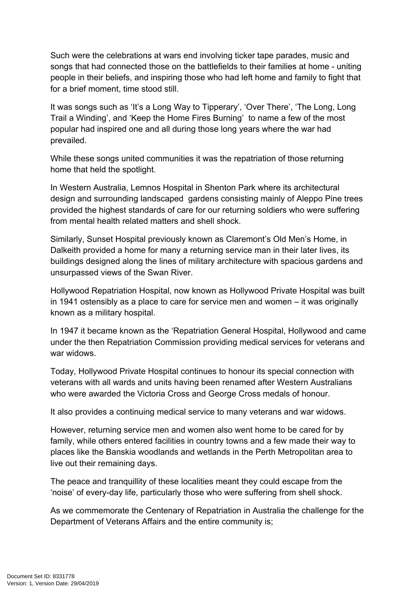Such were the celebrations at wars end involving ticker tape parades, music and songs that had connected those on the battlefields to their families at home - uniting people in their beliefs, and inspiring those who had left home and family to fight that for a brief moment, time stood still.

It was songs such as 'It's a Long Way to Tipperary', 'Over There', 'The Long, Long Trail a Winding', and 'Keep the Home Fires Burning' to name a few of the most popular had inspired one and all during those long years where the war had prevailed.

While these songs united communities it was the repatriation of those returning home that held the spotlight.

In Western Australia, Lemnos Hospital in Shenton Park where its architectural design and surrounding landscaped gardens consisting mainly of Aleppo Pine trees provided the highest standards of care for our returning soldiers who were suffering from mental health related matters and shell shock.

Similarly, Sunset Hospital previously known as Claremont's Old Men's Home, in Dalkeith provided a home for many a returning service man in their later lives, its buildings designed along the lines of military architecture with spacious gardens and unsurpassed views of the Swan River.

Hollywood Repatriation Hospital, now known as Hollywood Private Hospital was built in 1941 ostensibly as a place to care for service men and women – it was originally known as a military hospital.

In 1947 it became known as the 'Repatriation General Hospital, Hollywood and came under the then Repatriation Commission providing medical services for veterans and war widows.

Today, Hollywood Private Hospital continues to honour its special connection with veterans with all wards and units having been renamed after Western Australians who were awarded the Victoria Cross and George Cross medals of honour.

It also provides a continuing medical service to many veterans and war widows.

However, returning service men and women also went home to be cared for by family, while others entered facilities in country towns and a few made their way to places like the Banskia woodlands and wetlands in the Perth Metropolitan area to live out their remaining days.

The peace and tranquillity of these localities meant they could escape from the 'noise' of every-day life, particularly those who were suffering from shell shock.

As we commemorate the Centenary of Repatriation in Australia the challenge for the Department of Veterans Affairs and the entire community is;